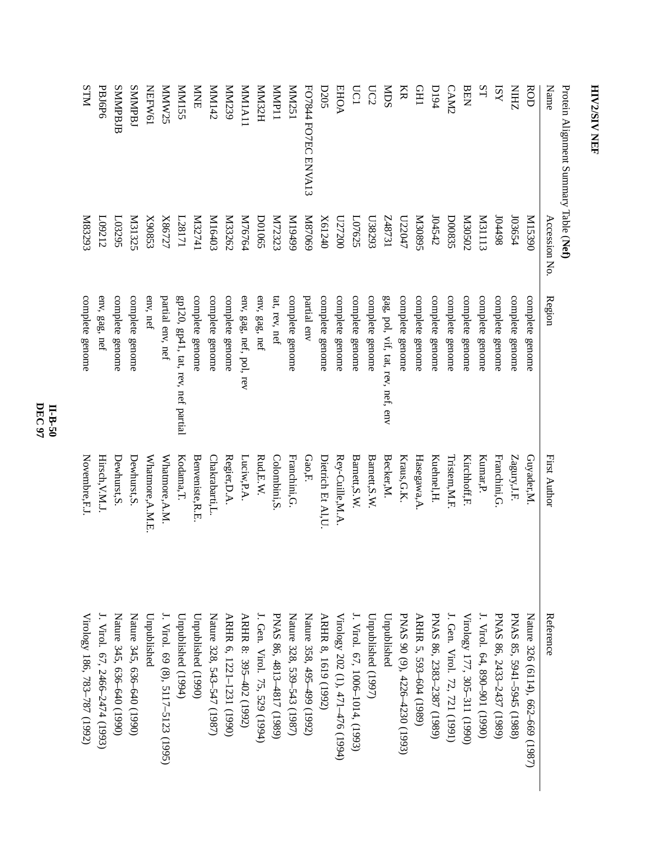| Accession No.         | Region                                   | <b>First Author</b>              | Reference                             |
|-----------------------|------------------------------------------|----------------------------------|---------------------------------------|
| 06851M                | complete genome                          | Guyader,M.                       | Nature 326 (6114), 662-669 (1987)     |
| 103654                | complete genome                          | Zagury,J.F.                      | PNAS 85, 5941-5945 (1988)             |
| 104498                | complete genome                          | Franchini, G.                    | PNAS 86, 2433-2437 (1989)             |
| <b>M31113</b>         | complete genome                          | Kumar, P.                        | J. Virol. 64, 890-901 (1990)          |
| Z02020                | complete genome                          | Kirchhoff, F.                    | Virology 177, 305-311 (1990)          |
| D00835                | complete genome                          | Tristem, M.F                     | I. Gen. Virol. 72, 721 (1991)         |
| 104542                | complete genome                          | Kuehnel, H.                      | PNAS 86, 2383-2387 (1989)             |
| S6808N                | complete genome                          | Hasegawa, A                      | ARHR 5, 593-604 (1989)                |
| L72047                | complete genome                          | Kraus, G.K.                      | PNAS 90 (9), 4226-4230 (1993)         |
| LEZ84Z                | gag, pol, vif, tat, rev, nef, env        | Becker,M.                        | Unpublished                           |
| C628203               | complete genome                          |                                  | Unpublished (1997)                    |
| L07625                | complete genome                          | Barnett, S.W.                    | J. Virol. 67, 1006–1014, (1993)       |
| 027200                | complete genome                          | Rey-Cuille,M.A.                  | Virology 202 (1), 471-476 (1994)      |
| X61240                | complete genome                          | Dietrich Et Al,U                 | ARHR 8, 1619 (1992)                   |
| 69028M                | partial env                              | $\mathrm{Gao},\! \mathrm{F}$     | Nature 358, 495-499 (1992)            |
| 66t61M                | complete genome                          | Franchini, G.                    | Nature 328, 539–543 (1987)            |
| K72323                | tat, rev, nef                            | Colombini, S                     | PNAS 86, 4813-4817 (1989)             |
| <b>DO1065</b>         |                                          | $\text{Rud}, \text{E.W.}$        | J. Gen. Virol. 75, 529 (1994)         |
| M76764                | env, gag, nef, pol, rev                  | Luciw,P.A.                       | ARHR 8: 395-402 (1992)                |
| <b>M33262</b>         |                                          | Regier, D.A.                     | ARHR 6, 1221-1231 (1990)              |
| K16403                | complete genome                          | Chakrabarti,L.                   | Nature 328, 543–547 (1987)            |
| It <sub>13274</sub> 1 | complete genome                          | Benveniste, R.E.                 | Unpublished (1990)                    |
| L28171                | $gp120$ , $gp41$ , tat, rev, nef partial | Kodama, T.                       | Unpublished (1994)                    |
| X86727                | partial env, nef                         | Whatmore, A.M.                   | $($ . Virol. 69 (8), 5117–5123 (1995) |
| X90853                | env, nef                                 | Whatmore, A.M.E                  | Unpublished                           |
| <b>M31325</b>         | complete genome                          | Dewhurst, S.                     | Nature 345, 636-640 (1990)            |
| L03295                | complete genome                          | Dewhurst, S.                     | Nature 345, 636–640 (1990)            |
| L09212                | env, gag, nef                            | Hirsch, V.M.J.                   | I. Virol. 67, 2466–2474 (1993)        |
| K83293                | complete genome                          | Novembre,F.J                     | Virology 186, 783-787 (1992)          |
|                       | Protein Alignment Summary Table (Net)    | complete genome<br>env, gag, nef | Barnett, S.W.                         |

**DEC 97 II-B-50**

## **HIV2/SIVHIV2/SIV NEF**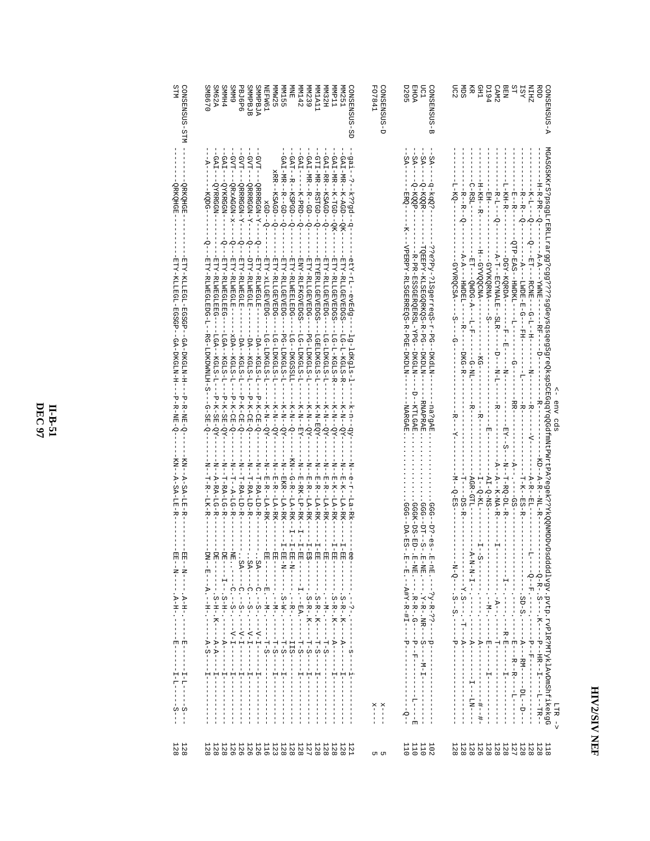## HIV2/SIV NEF

| STM<br>CONSENSUS-STM<br><b>SM62A</b><br>SMB670<br><b>PHMMS</b>                                                                                                                                                                                                                                | NEFW61<br><b>PBJ6P6</b><br><b>SMMPBJB</b><br><b>SMMPBJA</b><br><b>MM155</b><br><b>GMMS</b><br>MMW25                                                                                                                                                                                                                                                                                                                                                                             | CONSENSUS-SD<br><b>MM142</b><br><b>MM32H</b><br>TT dWW<br>VMV251<br>喜<br><b>MN239</b><br><b>ITYTMW</b>                                                                                                                                                                                                                                                                                                                                                                           | <b>FO7841</b><br>CONSENSUS-D<br><b>EHOA</b><br>LC1<br><b>D205</b><br>G-SUSNESNO                                                                                                                                 | ŠΤ<br><b>ZHIN</b><br>ROD<br>GONSENSUS-A<br><b>194</b><br>nc2<br>Я<br>Я<br>CAM <sub>2</sub><br><b>BEN</b><br><b>TST</b><br>Ř                                                                                                                                                                                                                                                                                                                                                                                                                                                                                                                                                                                                                                                  |
|-----------------------------------------------------------------------------------------------------------------------------------------------------------------------------------------------------------------------------------------------------------------------------------------------|---------------------------------------------------------------------------------------------------------------------------------------------------------------------------------------------------------------------------------------------------------------------------------------------------------------------------------------------------------------------------------------------------------------------------------------------------------------------------------|----------------------------------------------------------------------------------------------------------------------------------------------------------------------------------------------------------------------------------------------------------------------------------------------------------------------------------------------------------------------------------------------------------------------------------------------------------------------------------|-----------------------------------------------------------------------------------------------------------------------------------------------------------------------------------------------------------------|------------------------------------------------------------------------------------------------------------------------------------------------------------------------------------------------------------------------------------------------------------------------------------------------------------------------------------------------------------------------------------------------------------------------------------------------------------------------------------------------------------------------------------------------------------------------------------------------------------------------------------------------------------------------------------------------------------------------------------------------------------------------------|
| $-GAT-$<br>-GAI<br>Η-<br>-QYRRGGN-<br>-OYKRGGN-<br>-QRKQHGE-<br>арнокис<br>-KQDG--<br>ò<br>Ю<br>-ETY-RLNEGLEEG-<br>FI-N-KLLEGL-EGSGP--GA-DKGLN-H-<br>ETY-KLLEGL-EGSGP--GA-DKGLN-H--<br>ETY-RUNEGLEDG-L-<br>ETY-RLWEGLEEG-<br>$-LGH - KGLS - L -$<br>RG-LDKDWNLH-S---G-SE-Q-<br>LGA--KGLS-L--- | -GVT---QRRRGGN-Y-<br>--LAD-<br>-GVT-<br>GVT<br>GAI-MR--R--GD--Q-<br>$xRR - KSAGD - Q -$<br>$-QRRRGGN-X--$<br>$-Q$ RxAGGN-x-<br>$-QRRRGGN-Y-$<br>$xGD--Q-$<br>$\delta$<br>$\overline{\phi}$<br>$\circ$<br>φ,<br>-ETY-RLWEGLE--<br>ETY-RLNEGLE---<br>ETY-RLWEGLE--<br>UTK-RINBOLE--<br>ETY-RLLGEVEDG-<br>ETY-XLLGEVEDG-<br>ETY-RLLGEVEDG<br>$-50A -$<br>PG-LDKGLS-L-<br>$-DA- KGLS-II-$<br>LG-LDKGLS-L-DL<br>$-DA - KGLS - L -$<br>$-DA - KGLS - L -$<br>LG-LDKGLS-L<br>$KGLS-T-$ | $-GH - HF - -GD - -GD - -G$<br>$-GAT-NR - K-SCD - -QK -$<br>-GAT--RSPGD---Q-<br>-b--p633-------<br>GTI-MR--RSTGD--Q-<br>$GAT - RR - KSAGD - Q -$<br>GAI-MR--KGD--QK-<br>$-K-EP$ -Q-<br>-etr-rL--evEdg-<br>ENY-RLFKGVEDGS<br>ETY-RLLGEVEDG-<br>ETY-RLLGEVEDGS<br>ETY-RLLGEVEDGS<br>ETY-RLWEELEDG-<br>ETY-RLLGEVEDG-<br><b>ETYERLLGEVEDGS</b><br>$-LG-L-KGLS-E$<br>LG-LDKGLS-L<br>PG-LDKGLS-L<br>LG-LDKGLS-L-DL<br>$LG-L-KGLS-F.$<br>LG--DKGSSLL-<br>LGELDKGLS-L<br>$1g-1dKg1s-1-$ | -SA-<br>$-8A-$<br>$-SA-$<br>ΑS.<br>-9-KQQR<br>-q-kqQ?<br>-0-K00P<br>-ERQ-<br>VPERPY-RUSGERERE - F-PGE-DKDLN<br>HOREPY-KLSECORKORKOR-R-PG--DKDLN<br>??e?Py-?lSgerreqS-r-PG--DKdLM<br>R-PR-ESSGERQERSL-YPG--DKGLN | MGASSEKrzStpegelrERLLrzerg9???????99GeyegegSgrzegScBGggyrgebmathrPMrtPA?e9ek???YkQQMMDvDbadddJvgyr yvtp:ryPlM?hrDmDvDadd32.xytp:ryPlM?hrDmDvD<br>$-H$ -R-PR-- $O$ -<br>-H - KH - - H - -<br>$-80-7$<br>$C - RST - -$<br>L-KH-R-1<br>- R-- R--<br>$-B$ – $L$ – $-$ – – –<br>- E - - R - -<br>-R--R--<br>-<br>-0<br>-<br>QTP-EAS--HWDKL--<br>$- - \Delta - \Delta - - - \gamma W\Sigma = - -$<br>-H--GAASOCNA--<br>--BT----RONE---Q-L--HI-----<br>- A - H - - BCMA L B - - S L B - - - - - - D - - - M - L - - - - - A - -<br>$A - A -$<br>DOK - KORDA - - - - - - - - - - - - - - -<br>$-GYVKQRMA--$<br>GYVRQCSA--<br>-HNDEL--<br>$-5-$<br>- - - - - R F - - - - D - -<br>$-5$<br>$- - - - 1$<br>ーゼー<br>Ω<br>$- - - - - - - - - - - - -$<br>--KG---<br>-DKG-R-<br>- - N - - - |
| $-P - R - N E - O$<br>$-D$ - $R$ - $N = -D$<br>$-X0 - X - 2E - 6X -$<br>$-E-K-SE-OL-$                                                                                                                                                                                                         | $-E-K-CE-G$<br>$-B-K-CE-Q-$<br>$-P-K-CE-Q$<br>$-P-K-CE-Q$<br>$-K-N$ –N- $-K-$<br>$-X - N - -N - N -$<br>$-K-N$ - $K-N$                                                                                                                                                                                                                                                                                                                                                          | $-K-n-n-k-$<br>$-K-N$ – $K-N$ –<br>$-K-K-K-K$<br>$-K-K-K-K-K$<br>$-K-N--X-$<br>$-K-N-EQX-$<br>$-K-N--S--$<br>$-K-N--X--K$                                                                                                                                                                                                                                                                                                                                                        | D--RHLGAE.<br>-RNAPRAE<br>-na?gAE<br><b>NARGAE</b>                                                                                                                                                              | $-1 - 1 - 12 - 1 - 1 - 1$<br>$--HR$ - $-$<br>$\begin{array}{c} \n\cdot & \cdot & \cdot \\ \n\cdot & \cdot & \cdot \\ \n\cdot & \cdot & \cdot \n\end{array}$<br>$-$ B $-$<br>env cds<br>R----<br>--R--<br>$R$ -<br>변<br>$-77$<br>$\overline{\zeta}$                                                                                                                                                                                                                                                                                                                                                                                                                                                                                                                           |
| $\begin{array}{l} \text{K-N} = -\text{A} - \text{S-A} - \text{L} \text{E} - \text{R} \end{array}$<br>$\begin{array}{l} \text{K}\text{N}-\text{A}-\text{S}\text{A}-\text{L}\text{E}-\text{R} \end{array}$<br>$-1$ Z-H-H-R2-H-Z-H-<br>- N - - A - L C - N - K<br>-N---T-R---L-K-R               | --B-B-F-P-PA-B-K-<br>- - BKB - - L-A - AK- - -<br>T--A-LG-R                                                                                                                                                                                                                                                                                                                                                                                                                     | KN - - - - - - - - - - - - - - - - - - E<br>- N - - 6 - 5 - - 1 a - R k -<br>- - E-E-F-E-E-E-E-<br>- - E - E - - L - F - E - E - E -<br>- - E - K - - L - H - K -<br>-- E-E-- -- F--- F-E-E--<br>-- E- K-- LA-<br>H-<br>--B-RK-LP-RK--H--H-B                                                                                                                                                                                                                                     | --555<br>$GGG---DT---S-$<br>GGGK-DS-ED-<br>-559<br>$DA-ES-$<br>$D2 - eS -$                                                                                                                                      | S---N---H-RO-DL-R<br>- KD - - A - R - - NL - R - -<br>- A - - A - - A - - A - - A -<br>$-R-R$ - $R$ - $R$ - $R$ - $R$ - $R$ - $R$ - $R$ - $R$ - $R$ - $R$ - $R$ - $R$ - $R$ - $R$ - $R$ - $R$ - $R$ - $R$ - $R$ - $R$ - $R$ - $R$ - $R$ - $R$ - $R$ - $R$ - $R$ - $R$ - $R$ - $R$ - $R$ - $R$ - $R$ - $R$ - $R$ - $R$<br>$-AT-Q-NS-$<br>$-AGR-GTL$ -<br>$-1 - K - E - E - K -$<br>$-M--D-ES--$<br>$\mathbb{I}--\mathbb{C}-\mathbf{K}\mathbf{L}--$<br>--95--<br>$---DS-FR$                                                                                                                                                                                                                                                                                                    |
| 」<br>U<br>Ů<br>$-10N$<br>E<br>固<br>E--N------ A-H-------E----<br><b>E-1-1-2 . --H-. --</b>                                                                                                                                                                                                    | $-1$<br>ż<br>固<br>F1 - - - -<br>$-SA---C$ . $---S---C$ . $---V$<br>면<br> <br>                                                                                                                                                                                                                                                                                                                                                                                                   | $-1-E$<br>$-1$<br>$H - T - H$<br>$\frac{1}{2}$<br>.H - - - - - - - - . S - R - . R - - - - - - - - - - - -<br>B-------- . S-R-- . K-----A---<br>$-\frac{1}{1}$<br>J.<br>$-1 - 2 - 1 - 1 -$                                                                                                                                                                                                                                                                                       | E - - E ・ - - A # Y - R - # I - - - - - P - - -<br>$E - nE$ . ---?y-R-??------                                                                                                                                  | ŧ<br>$\frac{1}{1}$<br>S-------------------                                                                                                                                                                                                                                                                                                                                                                                                                                                                                                                                                                                                                                                                                                                                   |
| $---A-S----$<br>$- - - 1 - 1 - - - - - - -$<br>$-1$<br>J.<br>$\mathbf{I}$<br>Ŧ<br>$\frac{1}{1}$<br>$\mathsf I$                                                                                                                                                                                | $\frac{1}{1}$<br>j<br>$\mathbf{H}$<br>Ť<br>$\frac{1}{1}$<br>÷<br>1<br>$\frac{1}{1}$<br>$\begin{array}{c} 1 \\ 1 \\ 1 \end{array}$<br>$\frac{1}{1}$<br>I.                                                                                                                                                                                                                                                                                                                        | $\begin{array}{c} 1 \\ 1 \\ 1 \end{array}$<br>$\frac{1}{1}$<br>$\begin{bmatrix} 1 & 1 & 1 \\ 1 & 1 & 1 \\ 1 & 1 & 1 \end{bmatrix}$<br>$\frac{1}{1}$<br>$\frac{1}{1}$<br>$\begin{array}{c} 1 \\ 1 \\ 1 \end{array}$<br>$\frac{1}{1}$<br>$\frac{1}{1}$<br>$\frac{1}{1}$<br>$\frac{1}{1}$<br>Ť<br>$\mathbf{I}$                                                                                                                                                                      | Î<br>J.<br>$\frac{1}{1}$<br>$\mathsf I$<br>$\frac{1}{1}$<br>--------<br>J<br>$\frac{1}{1}$<br>$x$ – – –<br>$X - - - -$<br>$-5 - - -$                                                                            | ļ<br>- - - - - - - - - - - - - - - - - -<br>I<br>I<br>Ţ<br>$\mathbf{I}$<br>$\frac{1}{1}$<br>$- - - - 2\Gamma I - - - -$<br>$\frac{1}{1}$<br>$\begin{bmatrix} 1 \\ 1 \\ 1 \end{bmatrix}$<br>$\frac{1}{1}$<br>LTR --><br>$\mathbf{I}$                                                                                                                                                                                                                                                                                                                                                                                                                                                                                                                                          |
| 1288<br>128<br>128<br>128                                                                                                                                                                                                                                                                     | 126<br>126<br>126<br>126<br>123<br>128                                                                                                                                                                                                                                                                                                                                                                                                                                          | $\begin{array}{c} 1.27 \\ 1.28 \end{array}$<br>128<br>128<br>128<br>128<br>128<br><b>121</b>                                                                                                                                                                                                                                                                                                                                                                                     | 110<br>1110<br>1110<br>1110<br>un un                                                                                                                                                                            | $128\,$<br><b>128</b><br>$127$<br>128<br>128<br>128<br>126<br>128<br>128<br>128<br>118<br>128                                                                                                                                                                                                                                                                                                                                                                                                                                                                                                                                                                                                                                                                                |

**II-B-51**<br>DEC 97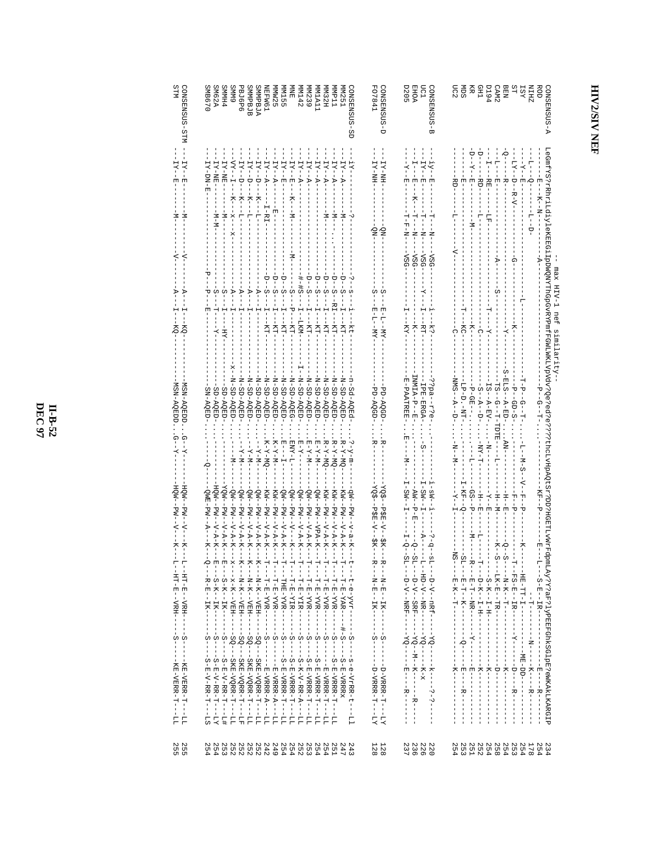## HIV2/SIV NEF

| <b>A-SUSMERNO</b>               |                                                                                                                           | LeGmfYS?rAhriddyleKEEG1IpDWQWYThQpGvRYFPmfFGWLWKLVpVdv?Qe?ed??????rhcLvHpAQtSr?pD?HGETLvWrFd<br>max<br>HIV-1 nef<br>similarity- |                                      |                                                                                                                                       | pmLAy?Y?aF?lyPEEFGhkSGlpE?eWKAkLKARGIP                                                                    | 234        |
|---------------------------------|---------------------------------------------------------------------------------------------------------------------------|---------------------------------------------------------------------------------------------------------------------------------|--------------------------------------|---------------------------------------------------------------------------------------------------------------------------------------|-----------------------------------------------------------------------------------------------------------|------------|
| ZHIN<br>ROD                     | $\frac{1}{1}$<br>$-1 - 1 - 1$                                                                                             | $-4$                                                                                                                            | --1--0---                            | KH--P-<br>변                                                                                                                           |                                                                                                           | 178<br>254 |
| <b>IST</b>                      | $\begin{array}{c} 1 \\ 1 \end{array}$                                                                                     |                                                                                                                                 | $-9 - -6 -$<br>Ė<br>부                | $-K - S - -K - H$<br>$\frac{1}{d}$                                                                                                    |                                                                                                           | 254        |
| ST<br>S                         | -- エトY--D--R-V---------                                                                                                   | $-6 - -$                                                                                                                        | $- P - G D - S - $                   | $-H$ $     -$                                                                                                                         |                                                                                                           | 253        |
| <b>BEN</b>                      | O – – – – – – R – – – – – – – – – – –                                                                                     | $-1 - 7 -$                                                                                                                      | $S-BL-S-$                            |                                                                                                                                       |                                                                                                           | 254        |
| CAM <sub>2</sub>                |                                                                                                                           |                                                                                                                                 | H2--0---H-HDHE-------                | $-H - H - -$                                                                                                                          |                                                                                                           | 852        |
| CH <sub>1</sub><br><b>194</b>   | - 11---RE-------LE--<br>--RD----                                                                                          | $-1$ - $-1$<br>$-1 - 1$                                                                                                         | $1S - N - N - N - N - N - N - N$     | $-1 - H - H - H -$<br>$-K--E-$                                                                                                        |                                                                                                           | 254<br>254 |
| Ř                               | $-1 - 2 - 1 - 2 - 1$<br>$\frac{1}{1}$                                                                                     | --<br>--<br>--                                                                                                                  |                                      | $-1 - 1 - 1 - 1$<br>$-GS$ --P--<br>-- -- -- --                                                                                        |                                                                                                           | <b>251</b> |
| ŠЩ                              | ーロー                                                                                                                       | H----<br>H---                                                                                                                   | <b>LP-D.-NH-</b>                     | $-1$<br>$-1$<br>$-1$<br>$-1$<br>$-1$                                                                                                  |                                                                                                           | 253        |
| nc2                             | ta<br>B                                                                                                                   | م                                                                                                                               | $NMS - -D - -D$                      | $-N$ – $N$ –<br>- NS - - - - - E - - - - - - - - - -                                                                                  | Ţ<br>$\frac{1}{1}$                                                                                        | 254        |
| -SUSNESMOC<br>₩                 | $IY = -EI$                                                                                                                | $--\nabla$ SG<br>i----k?-                                                                                                       |                                      | $\frac{1}{1}$ – $\text{SN}$ – $\frac{1}{1}$<br>$-5 - 3 - 5$<br>--<br>--<br>--<br>--<br>-<br>-<br>-<br>-<br>-<br>-<br><br><br><br><br> | $----20 - -1 - - - - - -$<br>$- - - - - - - - -$                                                          | 220        |
| mc1                             | $-1 - 2 - 4 - 2 - 1$<br>$-1$ - $-1$ - $-1$ - $-1$                                                                         | $-0.5G - 1$<br>$I - -RT -$                                                                                                      | IPE-ERGA-<br>$-5 - -$                | $I - SN - I - I - -$<br>-- 7---                                                                                                       |                                                                                                           | 226        |
| EHOA<br>D205                    |                                                                                                                           | $-SSA$ -<br>$-1$                                                                                                                | -R--P--E-                            | $AN - P - E$                                                                                                                          |                                                                                                           | 236        |
|                                 | $-7 - 7$<br><b>ローマーN--</b>                                                                                                | --vsg-<br>$-KX$                                                                                                                 | B-PAAHRE-                            | $-2M - -1 - -$<br>$1 - 0 - 1$                                                                                                         |                                                                                                           | 237        |
| G-SQSENSNOS-D                   | $HN-XI$<br>ON-                                                                                                            | C<br>$E - TI - -KK -$                                                                                                           | PD-AQGD-<br>₩                        | $-1-2-1=-1$<br>$-2K$ -                                                                                                                |                                                                                                           | 128<br>128 |
| FO7841                          | TY-NH:                                                                                                                    | w<br>$E-TI-I$                                                                                                                   | PD-AQGD-                             | šÕĀ<br>$-52E - 2K - -2K -$                                                                                                            |                                                                                                           |            |
| -SUSNESNO <sub>-</sub><br>Ġ     |                                                                                                                           | -kt                                                                                                                             | <b>bage-ball</b>                     | $-11 - 1$<br>$-$ - $N - 9 - 4 - 8 - 1$<br>-t---t-e-yvr---                                                                             | $\frac{1}{1}$<br>$- - s - e - VrRR - t - - - L1$                                                          | 243        |
| MN251                           | $-X$ – $X$<br>ł<br>$-1$ $-1$                                                                                              | P<br>-<br>HH-                                                                                                                   | N-SD-AQED                            | $R-X-MQ$<br>KM - - PM - - V - A - K - -                                                                                               |                                                                                                           | 247        |
| TTdW                            | $-X$ –– $X$<br>$-1$ - $-1$                                                                                                | ţ<br>-RH-                                                                                                                       | N-SD-AQED-                           | $B-X-MQ$<br>スピュー アプリー スーピード<br>- コーーーコーロー KVXR - - -                                                                                  | $S----S--S--S--S--S--S--S$                                                                                | <b>251</b> |
| MM32H                           | $-1 - 2 - -2 - -$<br>$- -M - -$                                                                                           |                                                                                                                                 | N-SD-AQED-GE                         | $B-X-MQ$<br>KN<br>- - セミー - ペーヤー - -<br>- T- - - T- H- H- KVR - - -                                                                   | $\frac{1}{1}$<br>$-5 -$                                                                                   | 254        |
| <b>TAIM</b>                     | $-1 - 2 - -2 - -$<br>$\frac{1}{1}$                                                                                        | $-D--S$<br>----<br>--                                                                                                           | -dap-AQED-                           | $E - Y - M -$<br>--dw--da--x---<br>- T- - - T- H - KVR - - - - - -                                                                    | $S----S--E-FRF--\\$                                                                                       | 254        |
| MM239<br><b>MM142</b>           | $-X$ -- $X$<br>$H = -R$<br>$\frac{1}{1}$<br>$\frac{1}{1}$                                                                 | $+$<br>i<br>İ<br>.<br>HH<br>LKM-                                                                                                | $N - GED - GCE - N$<br>N-SD-AQED-    | $E - Y - -$<br>$-1 - N - N - H$<br>$QW = -PW - -V - R - K - -$<br>- PM--V-A-K--<br>- T---T-E-YIR------<br>- T---T-T-T-YVR------       | $-5 -$<br>$\frac{5}{1}$<br>$- S - K - V - R R - R - R$<br>$- - 2 - E - F - F - F - F - F$<br>$T_{T} = -T$ | 253<br>252 |
| 扂                               | H K - - H - - - - K - - - - M - -                                                                                         | ن<br>م                                                                                                                          | N-SD-AQEG-                           | $-T-T-TNT$<br>ON--R-------<br>- T----T-E-YIR-------                                                                                   | $S----S----\\ S----\\ S--\\$                                                                              | 254        |
|                                 | $-1 - 2 - 1 - 2 - 1$                                                                                                      | $-D--S$<br>---------                                                                                                            | -dep-AQED-                           | $E---I-$<br>$QW - -PW - -V -R -K - -$<br>- T- - - THE - YVR - - - - - -                                                               | $S----S------\\$                                                                                          |            |
| MIN155<br>MIN125                | -- H ---------                                                                                                            | $-D--S$                                                                                                                         | -GED-AQED-                           | $K - Y - M -$<br>$KN - -N - N - N - K - K$<br>- T- - - T- H - T- YVR - - - - - - - - - -                                              |                                                                                                           | 254<br>249 |
| <b>IEMM61</b>                   | $\mathbf{I} \times \mathbf{I} - \mathbf{I} - \mathbf{I} - \mathbf{I} - \mathbf{I} - \mathbf{I} - \mathbf{I} - \mathbf{I}$ | $-D--S$                                                                                                                         | N-SD-AQED                            | $K-X-MQ$<br>KN<br>-- M-- N-A-K--                                                                                                      | $-5 -$                                                                                                    | 242        |
| <b>SMMPBJA</b>                  | <b>ロスー・ワー ーースーーー ピーーーーー</b>                                                                                               | $-R$ - - - $I$ - - - - -                                                                                                        | UHOV-US-N-                           | $-1 - X - N - N - N$<br>ŧ                                                                                                             | ---- SQ---- SKEI-VQRE-H------                                                                             | 252        |
| <b>PEJ6P6</b><br><b>SMMPBJB</b> | H<br>H<br>H<br>H<br>H<br>H<br>H<br>H<br>H<br>H<br>H<br>H<br><br><br><br><br><br><b>ロスー・ワー ーー ヌーーー ピーー</b>                 | $-4---$<br>$-$ A $-$ T $-$ T $-$<br>$-1$ $-1$ $-1$                                                                              | N-SD-AQED<br>N-SD-AQED-              | $-K-K$ -<br>$-X - N -$<br>$QW - -PW - -V - R -K - -$<br>--PM--V-A-K--<br>- K - - - N - K - - < K H<br>-<br>K---<br>N--<br>X--<br>X-   | I.<br>-- 20HR-NORR-1-<br>--SOH-NORE-AGE-<br>$-1 - 17$<br>$\frac{1}{2}$                                    | 252<br>252 |
| <b>GMMS</b>                     | $\Sigma = -1$<br>$- -X - -X - - -X - - -$                                                                                 | $-$ A $-$ - $-$ I $-$                                                                                                           | N-SD-AQED-                           | - - N-<br>$QW - PW - V - R - K - K -$<br>$-x---x-K--VEH$                                                                              | --- NO--- NXE-VORE-H-----                                                                                 | 252        |
| <b>PHMMS</b>                    | $MN-XI$<br>İ<br>$- -M - -$                                                                                                | $-5 - -1 - -$<br>$-$ H.T.                                                                                                       | SD-AQED-                             | KOM -- HA-A-A-K-                                                                                                                      | $\mathsf I$                                                                                               | 253        |
| SM62A                           | $-1X - NE - -1$<br>ŧ<br>-- N-N--                                                                                          | $S$ ---T---                                                                                                                     | SD-AQED-                             | HQW-<br>- セミー マーヤーズーー                                                                                                                 |                                                                                                           | 254        |
| SMB670                          | H-DN-H                                                                                                                    | ᠊ᠣ<br>÷                                                                                                                         | SN-AQED                              | ONE-FX---X-                                                                                                                           | Ť<br>$S -$<br>-- 2-HH-V-HH-1-<br>$5T -$                                                                   | 254        |
| CONSENSUS                       | $-71$<br>Ġ,<br>囝<br>Σ                                                                                                     |                                                                                                                                 | MSN-AQEDD<br>ω<br>Ω<br>$\frac{1}{K}$ | HQN--V--V--<br>$-LM - -N -$<br>$\overline{X}$                                                                                         |                                                                                                           | 250<br>255 |
| STM                             | - XI<br>Ξ                                                                                                                 | ⊅<br>KQ                                                                                                                         | <b>ISN-AQEDD</b>                     | HQM-<br>−k−                                                                                                                           |                                                                                                           |            |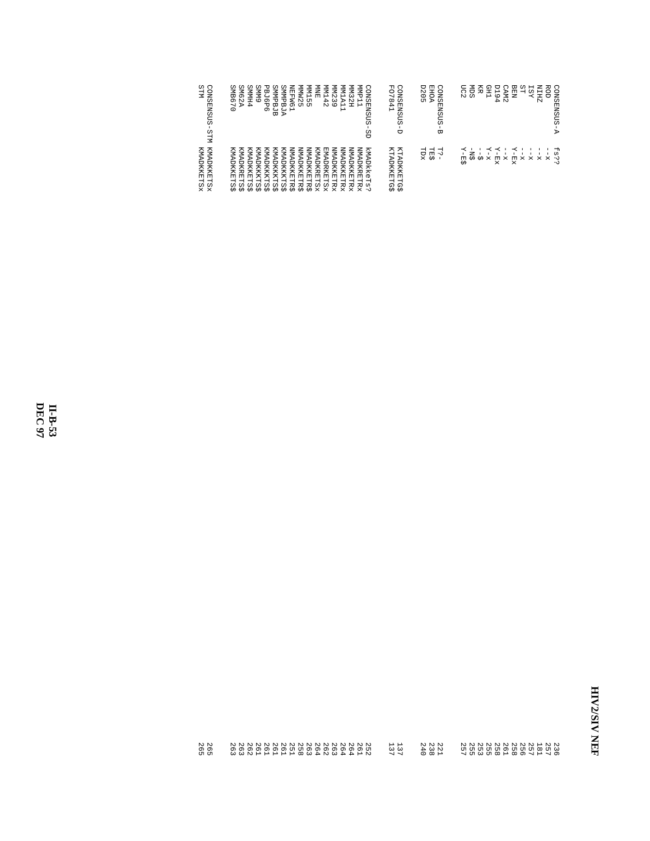| CONS<br>STIM<br><b>ENSUS</b><br><b>STM</b> | <b>EMP</b><br><b>NHHN</b><br><b>LMM</b><br>ZMM<br>ΣMIΝ<br>ZMMM<br><b>LMM</b><br>LММ<br><b>NINE</b><br>CONS<br><b>PBJ6</b><br><b>SMB6</b><br>SM62<br><b>GMMS</b><br><b>SMMP</b><br><b>GMMS</b><br><b>PHIMMS</b><br>ъ<br>UΠ<br>4<br>$\omega$<br>$\mathbb N$<br>⊢<br>ALA <sup>®</sup><br>$\overline{a}$<br>出<br><b>BJB</b><br><b>ENSUS</b><br>д<br>כל.<br><b>ח</b><br>$\overline{\phantom{0}}$<br>Ō<br>ப<br>O<br>$\overline{\phantom{a}}$<br>N<br>$\circ$<br>$\sigma$<br>٣<br>ىر<br>9S | <b>FO78</b><br>CONS<br><b>D205</b><br><b>EHOA</b><br>CONS<br>41<br><b>ENSUS</b><br><b>ENSUS</b><br>Ò<br>ω | UC2<br>SФ<br><b>ZHIN</b><br>ROD<br>日<br><b>GH1</b><br>CONSENSUS-<br><b>IST</b><br><b>P19</b><br><b>BEN</b><br>ξ<br>CMA <sub>2</sub><br>4<br>Ъ |
|--------------------------------------------|-------------------------------------------------------------------------------------------------------------------------------------------------------------------------------------------------------------------------------------------------------------------------------------------------------------------------------------------------------------------------------------------------------------------------------------------------------------------------------------|-----------------------------------------------------------------------------------------------------------|-----------------------------------------------------------------------------------------------------------------------------------------------|
| KMADKKETSX<br>KMADKKETSx                   | <b>NNADKRETR</b><br>NNADKKETR<br>NNADKKETR<br><b>NNADKKETR</b><br><b>NMADKKETRX</b><br>kmadkkeTs<br>NNADKKETR<br><b>NMADKKETR</b><br>KMADKKETS<br>KMADKKKTS<br>KMADKKKTS<br>KMADKRETS<br>KMADKKETS<br>KMADKKKTS<br>KMADKRETS<br>EMADRKETS<br>KMADKKKTS<br>×<br>×<br>٠Ö<br>×<br>×<br>×<br>÷ω<br>÷۰<br>₹Ω<br>$\tau$<br>-Ω-<br>$\cdot$ v<br>≁<br>∙0-<br>₩<br>≁                                                                                                                         | KTADKKETG<br>KTADKKETG\$<br><b>TES</b><br>TDX<br>IJ,<br>÷ύ                                                | $\overline{H}-\overline{H}$<br>К<br>к<br>к<br>H<br>k\$<br>ω.<br>ė<br>∽<br>ż.<br>ė<br>Ŕ<br>Ŕ.<br>Ŕ<br>Ŕ<br>×<br>×<br>×<br>-Ω-<br>$\cdot$       |